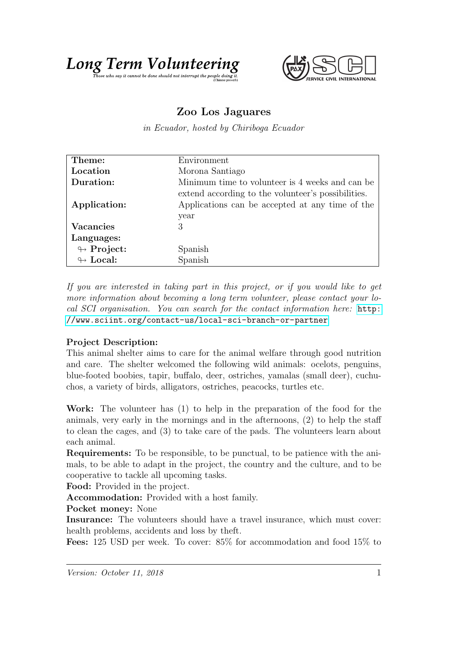



## Zoo Los Jaguares

in Ecuador, hosted by Chiriboga Ecuador

| Theme:                     | Environment                                        |
|----------------------------|----------------------------------------------------|
| Location                   | Morona Santiago                                    |
| Duration:                  | Minimum time to volunteer is 4 weeks and can be    |
|                            | extend according to the volunteer's possibilities. |
| Application:               | Applications can be accepted at any time of the    |
|                            | year                                               |
| <b>Vacancies</b>           | 3                                                  |
| Languages:                 |                                                    |
| $\leftrightarrow$ Project: | Spanish                                            |
| $\leftrightarrow$ Local:   | Spanish                                            |
|                            |                                                    |

If you are interested in taking part in this project, or if you would like to get more information about becoming a long term volunteer, please contact your local SCI organisation. You can search for the contact information here: [http:](http://www.sciint.org/contact-us/local-sci-branch-or-partner) [//www.sciint.org/contact-us/local-sci-branch-or-partner](http://www.sciint.org/contact-us/local-sci-branch-or-partner)

## Project Description:

This animal shelter aims to care for the animal welfare through good nutrition and care. The shelter welcomed the following wild animals: ocelots, penguins, blue-footed boobies, tapir, buffalo, deer, ostriches, yamalas (small deer), cuchuchos, a variety of birds, alligators, ostriches, peacocks, turtles etc.

Work: The volunteer has (1) to help in the preparation of the food for the animals, very early in the mornings and in the afternoons, (2) to help the staff to clean the cages, and (3) to take care of the pads. The volunteers learn about each animal.

Requirements: To be responsible, to be punctual, to be patience with the animals, to be able to adapt in the project, the country and the culture, and to be cooperative to tackle all upcoming tasks.

Food: Provided in the project.

Accommodation: Provided with a host family.

Pocket money: None

Insurance: The volunteers should have a travel insurance, which must cover: health problems, accidents and loss by theft.

Fees: 125 USD per week. To cover: 85% for accommodation and food 15% to

 $Version: October 11, 2018$  1